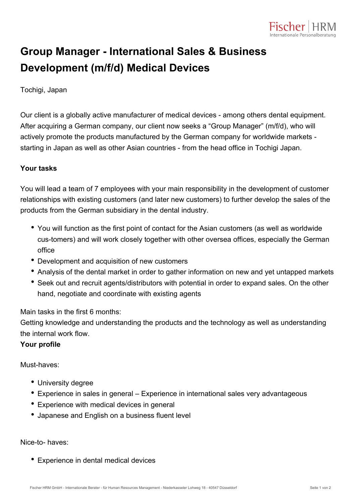

## **Group Manager - International Sales & Business Development (m/f/d) Medical Devices**

Tochigi, Japan

Our client is a globally active manufacturer of medical devices - among others dental equipment. After acquiring a German company, our client now seeks a "Group Manager" (m/f/d), who will actively promote the products manufactured by the German company for worldwide markets starting in Japan as well as other Asian countries - from the head office in Tochigi Japan.

## **Your tasks**

You will lead a team of 7 employees with your main responsibility in the development of customer relationships with existing customers (and later new customers) to further develop the sales of the products from the German subsidiary in the dental industry.

- You will function as the first point of contact for the Asian customers (as well as worldwide cus-tomers) and will work closely together with other oversea offices, especially the German office
- Development and acquisition of new customers
- Analysis of the dental market in order to gather information on new and yet untapped markets
- Seek out and recruit agents/distributors with potential in order to expand sales. On the other hand, negotiate and coordinate with existing agents

Main tasks in the first 6 months:

Getting knowledge and understanding the products and the technology as well as understanding the internal work flow.

## **Your profile**

Must-haves:

- University degree
- Experience in sales in general Experience in international sales very advantageous
- Experience with medical devices in general
- Japanese and English on a business fluent level

Nice-to- haves:

Experience in dental medical devices